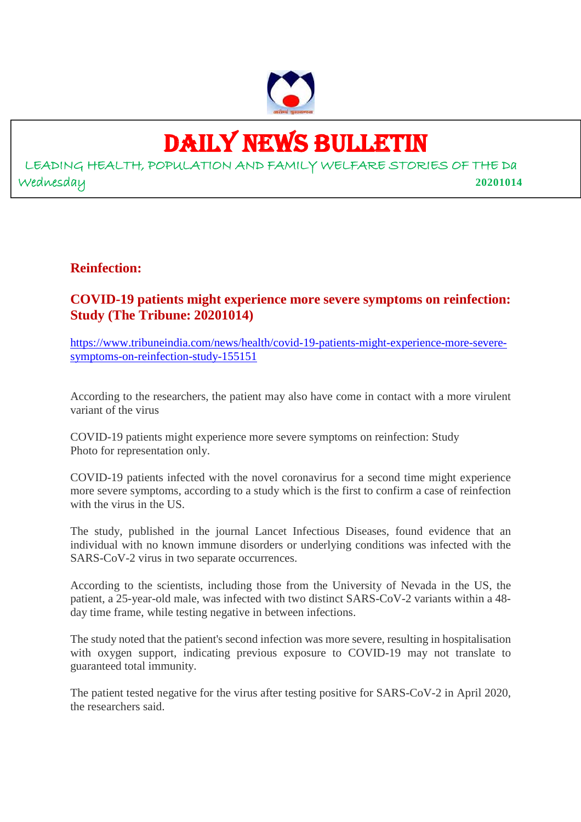

## DAILY NEWS BULLETIN

LEADING HEALTH, POPULATION AND FAMILY WELFARE STORIES OF THE Da Wednesday **20201014**

#### **Reinfection:**

#### **COVID-19 patients might experience more severe symptoms on reinfection: Study (The Tribune: 20201014)**

https://www.tribuneindia.com/news/health/covid-19-patients-might-experience-more-severesymptoms-on-reinfection-study-155151

According to the researchers, the patient may also have come in contact with a more virulent variant of the virus

COVID-19 patients might experience more severe symptoms on reinfection: Study Photo for representation only.

COVID-19 patients infected with the novel coronavirus for a second time might experience more severe symptoms, according to a study which is the first to confirm a case of reinfection with the virus in the US.

The study, published in the journal Lancet Infectious Diseases, found evidence that an individual with no known immune disorders or underlying conditions was infected with the SARS-CoV-2 virus in two separate occurrences.

According to the scientists, including those from the University of Nevada in the US, the patient, a 25-year-old male, was infected with two distinct SARS-CoV-2 variants within a 48 day time frame, while testing negative in between infections.

The study noted that the patient's second infection was more severe, resulting in hospitalisation with oxygen support, indicating previous exposure to COVID-19 may not translate to guaranteed total immunity.

The patient tested negative for the virus after testing positive for SARS-CoV-2 in April 2020, the researchers said.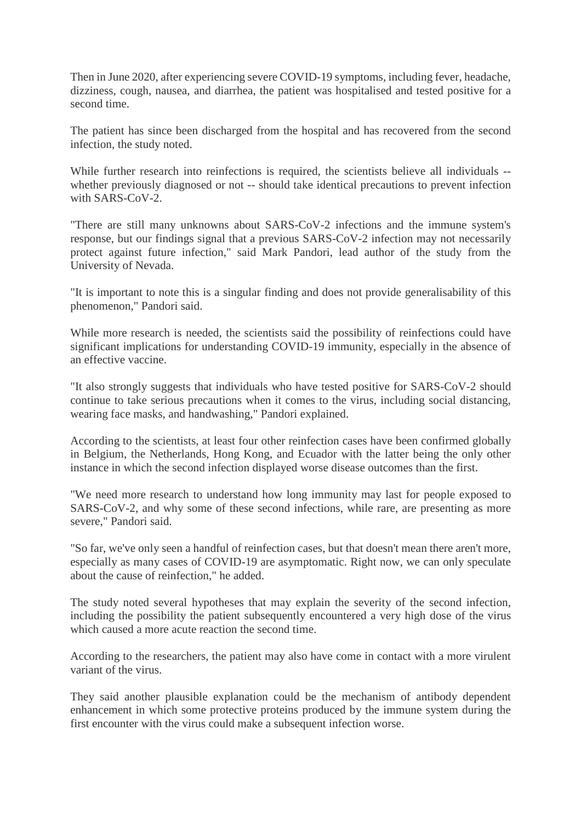Then in June 2020, after experiencing severe COVID-19 symptoms, including fever, headache, dizziness, cough, nausea, and diarrhea, the patient was hospitalised and tested positive for a second time.

The patient has since been discharged from the hospital and has recovered from the second infection, the study noted.

While further research into reinfections is required, the scientists believe all individuals -whether previously diagnosed or not -- should take identical precautions to prevent infection with SARS-CoV-2.

"There are still many unknowns about SARS-CoV-2 infections and the immune system's response, but our findings signal that a previous SARS-CoV-2 infection may not necessarily protect against future infection," said Mark Pandori, lead author of the study from the University of Nevada.

"It is important to note this is a singular finding and does not provide generalisability of this phenomenon," Pandori said.

While more research is needed, the scientists said the possibility of reinfections could have significant implications for understanding COVID-19 immunity, especially in the absence of an effective vaccine.

"It also strongly suggests that individuals who have tested positive for SARS-CoV-2 should continue to take serious precautions when it comes to the virus, including social distancing, wearing face masks, and handwashing," Pandori explained.

According to the scientists, at least four other reinfection cases have been confirmed globally in Belgium, the Netherlands, Hong Kong, and Ecuador with the latter being the only other instance in which the second infection displayed worse disease outcomes than the first.

"We need more research to understand how long immunity may last for people exposed to SARS-CoV-2, and why some of these second infections, while rare, are presenting as more severe," Pandori said.

"So far, we've only seen a handful of reinfection cases, but that doesn't mean there aren't more, especially as many cases of COVID-19 are asymptomatic. Right now, we can only speculate about the cause of reinfection," he added.

The study noted several hypotheses that may explain the severity of the second infection, including the possibility the patient subsequently encountered a very high dose of the virus which caused a more acute reaction the second time.

According to the researchers, the patient may also have come in contact with a more virulent variant of the virus.

They said another plausible explanation could be the mechanism of antibody dependent enhancement in which some protective proteins produced by the immune system during the first encounter with the virus could make a subsequent infection worse.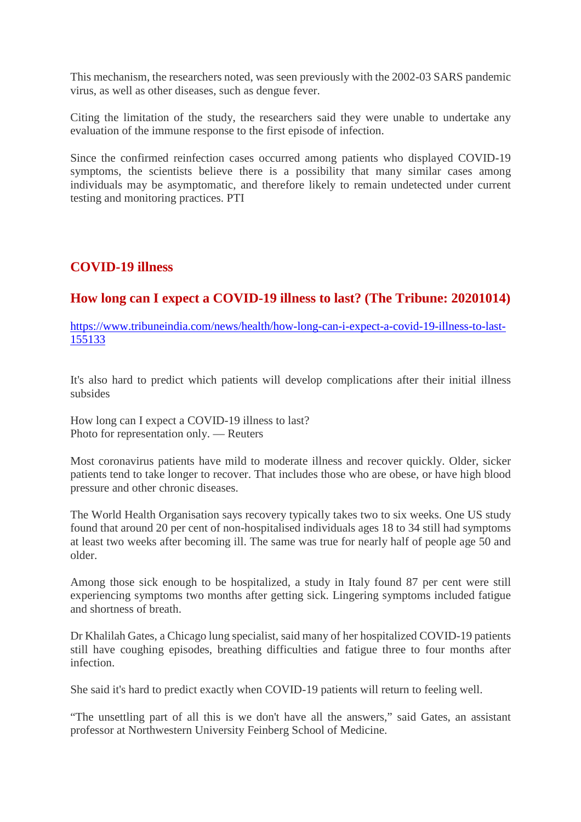This mechanism, the researchers noted, was seen previously with the 2002-03 SARS pandemic virus, as well as other diseases, such as dengue fever.

Citing the limitation of the study, the researchers said they were unable to undertake any evaluation of the immune response to the first episode of infection.

Since the confirmed reinfection cases occurred among patients who displayed COVID-19 symptoms, the scientists believe there is a possibility that many similar cases among individuals may be asymptomatic, and therefore likely to remain undetected under current testing and monitoring practices. PTI

#### **COVID-19 illness**

#### **How long can I expect a COVID-19 illness to last? (The Tribune: 20201014)**

https://www.tribuneindia.com/news/health/how-long-can-i-expect-a-covid-19-illness-to-last-155133

It's also hard to predict which patients will develop complications after their initial illness subsides

How long can I expect a COVID-19 illness to last? Photo for representation only. — Reuters

Most coronavirus patients have mild to moderate illness and recover quickly. Older, sicker patients tend to take longer to recover. That includes those who are obese, or have high blood pressure and other chronic diseases.

The World Health Organisation says recovery typically takes two to six weeks. One US study found that around 20 per cent of non-hospitalised individuals ages 18 to 34 still had symptoms at least two weeks after becoming ill. The same was true for nearly half of people age 50 and older.

Among those sick enough to be hospitalized, a study in Italy found 87 per cent were still experiencing symptoms two months after getting sick. Lingering symptoms included fatigue and shortness of breath.

Dr Khalilah Gates, a Chicago lung specialist, said many of her hospitalized COVID-19 patients still have coughing episodes, breathing difficulties and fatigue three to four months after infection.

She said it's hard to predict exactly when COVID-19 patients will return to feeling well.

"The unsettling part of all this is we don't have all the answers," said Gates, an assistant professor at Northwestern University Feinberg School of Medicine.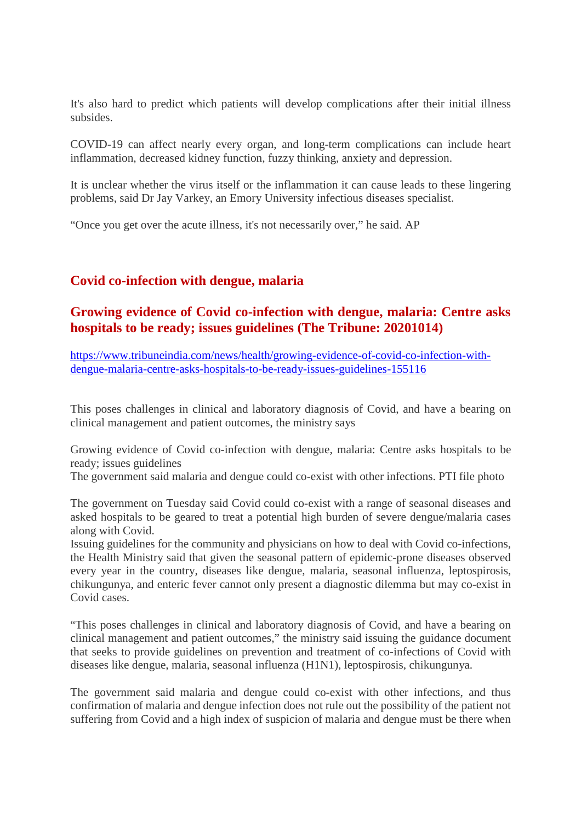It's also hard to predict which patients will develop complications after their initial illness subsides.

COVID-19 can affect nearly every organ, and long-term complications can include heart inflammation, decreased kidney function, fuzzy thinking, anxiety and depression.

It is unclear whether the virus itself or the inflammation it can cause leads to these lingering problems, said Dr Jay Varkey, an Emory University infectious diseases specialist.

"Once you get over the acute illness, it's not necessarily over," he said. AP

#### **Covid co-infection with dengue, malaria**

#### **Growing evidence of Covid co-infection with dengue, malaria: Centre asks hospitals to be ready; issues guidelines (The Tribune: 20201014)**

https://www.tribuneindia.com/news/health/growing-evidence-of-covid-co-infection-withdengue-malaria-centre-asks-hospitals-to-be-ready-issues-guidelines-155116

This poses challenges in clinical and laboratory diagnosis of Covid, and have a bearing on clinical management and patient outcomes, the ministry says

Growing evidence of Covid co-infection with dengue, malaria: Centre asks hospitals to be ready; issues guidelines

The government said malaria and dengue could co-exist with other infections. PTI file photo

The government on Tuesday said Covid could co-exist with a range of seasonal diseases and asked hospitals to be geared to treat a potential high burden of severe dengue/malaria cases along with Covid.

Issuing guidelines for the community and physicians on how to deal with Covid co-infections, the Health Ministry said that given the seasonal pattern of epidemic-prone diseases observed every year in the country, diseases like dengue, malaria, seasonal influenza, leptospirosis, chikungunya, and enteric fever cannot only present a diagnostic dilemma but may co-exist in Covid cases.

"This poses challenges in clinical and laboratory diagnosis of Covid, and have a bearing on clinical management and patient outcomes," the ministry said issuing the guidance document that seeks to provide guidelines on prevention and treatment of co-infections of Covid with diseases like dengue, malaria, seasonal influenza (H1N1), leptospirosis, chikungunya.

The government said malaria and dengue could co-exist with other infections, and thus confirmation of malaria and dengue infection does not rule out the possibility of the patient not suffering from Covid and a high index of suspicion of malaria and dengue must be there when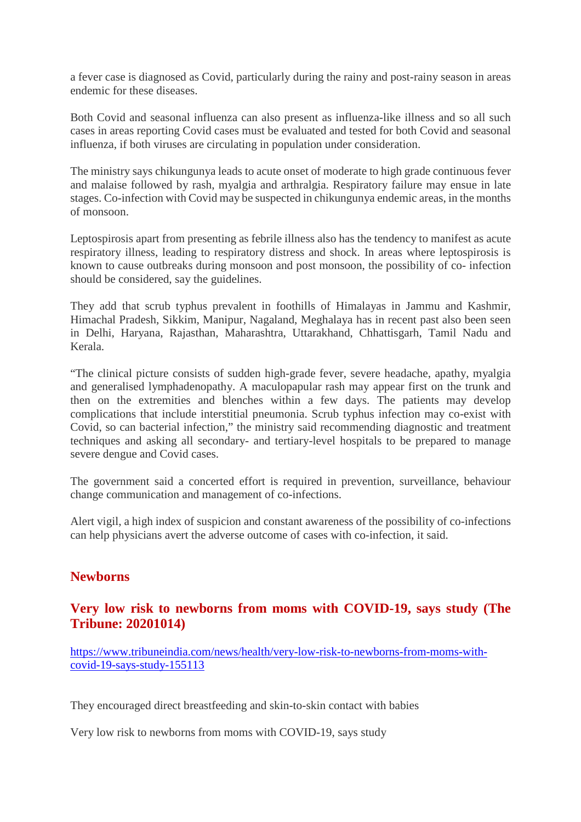a fever case is diagnosed as Covid, particularly during the rainy and post-rainy season in areas endemic for these diseases.

Both Covid and seasonal influenza can also present as influenza-like illness and so all such cases in areas reporting Covid cases must be evaluated and tested for both Covid and seasonal influenza, if both viruses are circulating in population under consideration.

The ministry says chikungunya leads to acute onset of moderate to high grade continuous fever and malaise followed by rash, myalgia and arthralgia. Respiratory failure may ensue in late stages. Co-infection with Covid may be suspected in chikungunya endemic areas, in the months of monsoon.

Leptospirosis apart from presenting as febrile illness also has the tendency to manifest as acute respiratory illness, leading to respiratory distress and shock. In areas where leptospirosis is known to cause outbreaks during monsoon and post monsoon, the possibility of co- infection should be considered, say the guidelines.

They add that scrub typhus prevalent in foothills of Himalayas in Jammu and Kashmir, Himachal Pradesh, Sikkim, Manipur, Nagaland, Meghalaya has in recent past also been seen in Delhi, Haryana, Rajasthan, Maharashtra, Uttarakhand, Chhattisgarh, Tamil Nadu and Kerala.

"The clinical picture consists of sudden high-grade fever, severe headache, apathy, myalgia and generalised lymphadenopathy. A maculopapular rash may appear first on the trunk and then on the extremities and blenches within a few days. The patients may develop complications that include interstitial pneumonia. Scrub typhus infection may co-exist with Covid, so can bacterial infection," the ministry said recommending diagnostic and treatment techniques and asking all secondary- and tertiary-level hospitals to be prepared to manage severe dengue and Covid cases.

The government said a concerted effort is required in prevention, surveillance, behaviour change communication and management of co-infections.

Alert vigil, a high index of suspicion and constant awareness of the possibility of co-infections can help physicians avert the adverse outcome of cases with co-infection, it said.

#### **Newborns**

#### **Very low risk to newborns from moms with COVID-19, says study (The Tribune: 20201014)**

https://www.tribuneindia.com/news/health/very-low-risk-to-newborns-from-moms-withcovid-19-says-study-155113

They encouraged direct breastfeeding and skin-to-skin contact with babies

Very low risk to newborns from moms with COVID-19, says study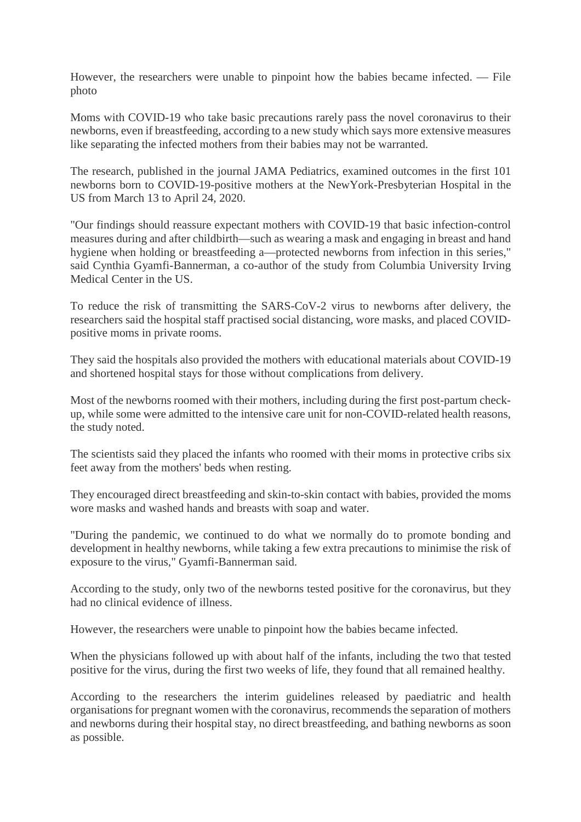However, the researchers were unable to pinpoint how the babies became infected. — File photo

Moms with COVID-19 who take basic precautions rarely pass the novel coronavirus to their newborns, even if breastfeeding, according to a new study which says more extensive measures like separating the infected mothers from their babies may not be warranted.

The research, published in the journal JAMA Pediatrics, examined outcomes in the first 101 newborns born to COVID-19-positive mothers at the NewYork-Presbyterian Hospital in the US from March 13 to April 24, 2020.

"Our findings should reassure expectant mothers with COVID-19 that basic infection-control measures during and after childbirth—such as wearing a mask and engaging in breast and hand hygiene when holding or breastfeeding a—protected newborns from infection in this series," said Cynthia Gyamfi-Bannerman, a co-author of the study from Columbia University Irving Medical Center in the US.

To reduce the risk of transmitting the SARS-CoV-2 virus to newborns after delivery, the researchers said the hospital staff practised social distancing, wore masks, and placed COVIDpositive moms in private rooms.

They said the hospitals also provided the mothers with educational materials about COVID-19 and shortened hospital stays for those without complications from delivery.

Most of the newborns roomed with their mothers, including during the first post-partum checkup, while some were admitted to the intensive care unit for non-COVID-related health reasons, the study noted.

The scientists said they placed the infants who roomed with their moms in protective cribs six feet away from the mothers' beds when resting.

They encouraged direct breastfeeding and skin-to-skin contact with babies, provided the moms wore masks and washed hands and breasts with soap and water.

"During the pandemic, we continued to do what we normally do to promote bonding and development in healthy newborns, while taking a few extra precautions to minimise the risk of exposure to the virus," Gyamfi-Bannerman said.

According to the study, only two of the newborns tested positive for the coronavirus, but they had no clinical evidence of illness.

However, the researchers were unable to pinpoint how the babies became infected.

When the physicians followed up with about half of the infants, including the two that tested positive for the virus, during the first two weeks of life, they found that all remained healthy.

According to the researchers the interim guidelines released by paediatric and health organisations for pregnant women with the coronavirus, recommends the separation of mothers and newborns during their hospital stay, no direct breastfeeding, and bathing newborns as soon as possible.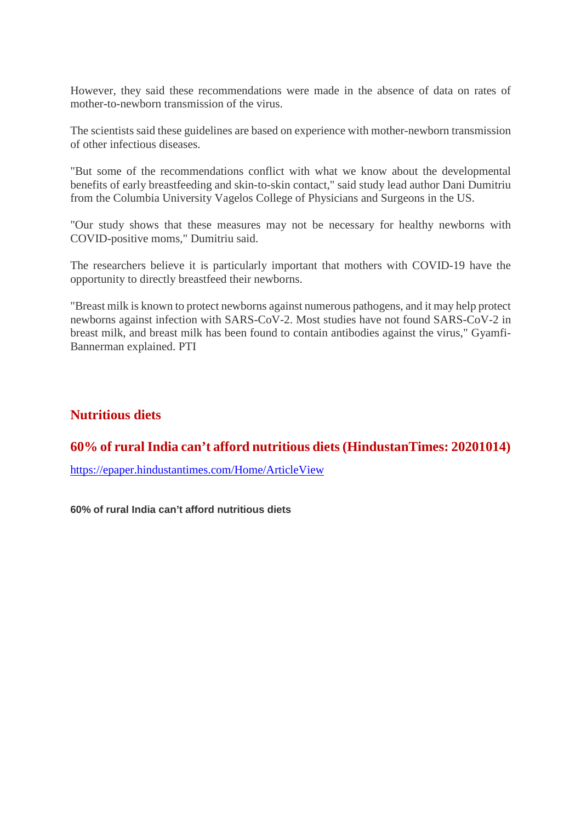However, they said these recommendations were made in the absence of data on rates of mother-to-newborn transmission of the virus.

The scientists said these guidelines are based on experience with mother-newborn transmission of other infectious diseases.

"But some of the recommendations conflict with what we know about the developmental benefits of early breastfeeding and skin-to-skin contact," said study lead author Dani Dumitriu from the Columbia University Vagelos College of Physicians and Surgeons in the US.

"Our study shows that these measures may not be necessary for healthy newborns with COVID-positive moms," Dumitriu said.

The researchers believe it is particularly important that mothers with COVID-19 have the opportunity to directly breastfeed their newborns.

"Breast milk is known to protect newborns against numerous pathogens, and it may help protect newborns against infection with SARS-CoV-2. Most studies have not found SARS-CoV-2 in breast milk, and breast milk has been found to contain antibodies against the virus," Gyamfi-Bannerman explained. PTI

#### **Nutritious diets**

#### **60% of rural India can't afford nutritious diets (HindustanTimes: 20201014)**

https://epaper.hindustantimes.com/Home/ArticleView

**60% of rural India can't afford nutritious diets**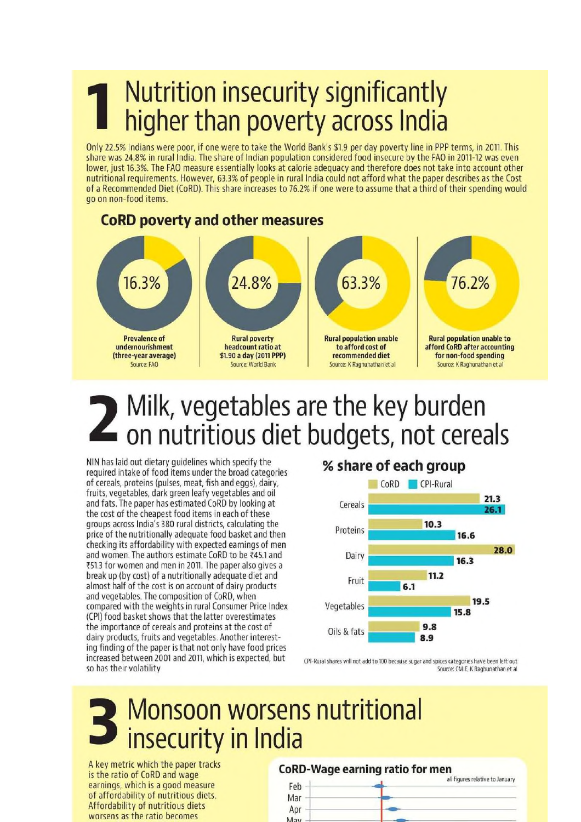## Nutrition insecurity significantly higher than poverty across India

Only 22.5% Indians were poor, if one were to take the World Bank's \$1.9 per day poverty line in PPP terms, in 2011. This share was 24.8% in rural India. The share of Indian population considered food insecure by the FAO in 2011-12 was even lower, just 16.3%. The FAO measure essentially looks at calorie adequacy and therefore does not take into account other nutritional requirements. However, 63.3% of people in rural India could not afford what the paper describes as the Cost of a Recommended Diet (CoRD). This share increases to 76.2% if one were to assume that a third of their spending would go on non-food items.

#### **CoRD poverty and other measures**



# Milk, vegetables are the key burden<br>
I on nutritious diet budgets, not cereals

NIN has laid out dietary guidelines which specify the required intake of food items under the broad categories of cereals, proteins (pulses, meat, fish and eggs), dairy, fruits, vegetables, dark green leafy vegetables and oil and fats. The paper has estimated CoRD by looking at the cost of the cheapest food items in each of these groups across India's 380 rural districts, calculating the price of the nutritionally adequate food basket and then checking its affordability with expected earnings of men and women. The authors estimate CoRD to be ₹45.1 and ₹51.3 for women and men in 2011. The paper also gives a break up (by cost) of a nutritionally adequate diet and almost half of the cost is on account of dairy products and vegetables. The composition of CoRD, when compared with the weights in rural Consumer Price Index (CPI) food basket shows that the latter overestimates the importance of cereals and proteins at the cost of dairy products, fruits and vegetables. Another interesting finding of the paper is that not only have food prices increased between 2001 and 2011, which is expected, but so has their volatility

#### % share of each group CoRD CPI-Rural  $21.3$ Cereals  $26.1$ 10.3 Proteins 16.6 28.0 Dairy  $16.3$  $11.2$ Fruit  $6.1$  $19.5$ Vegetables 15.8  $9.8$ Oils & fats 8.9

CPI-Rural shares will not add to 100 because sugar and spices categories have been left out Source: CMIE, K Raghunathan et a

# Monsoon worsens nutritional<br>insecurity in India

A key metric which the paper tracks is the ratio of CoRD and wage earnings, which is a good measure of affordability of nutritious diets. Affordability of nutritious diets worsens as the ratio becomes

#### **CoRD-Wage earning ratio for men**

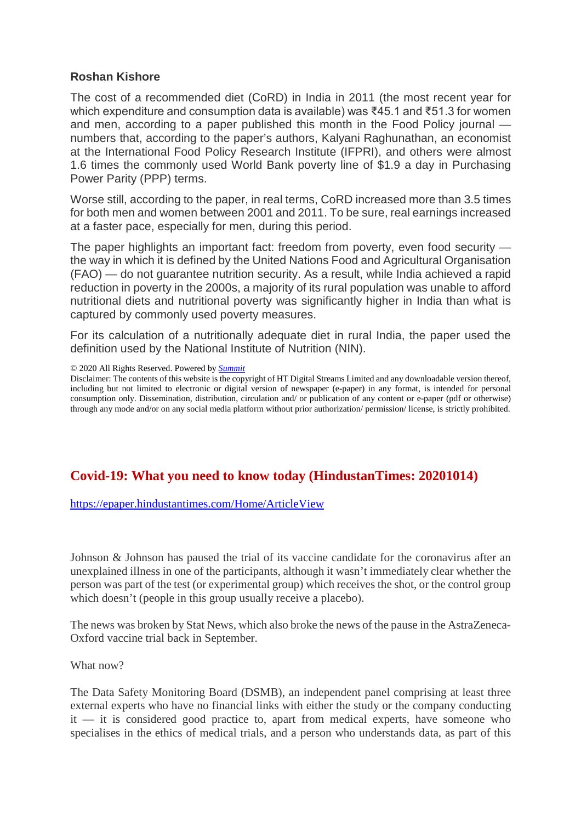#### **Roshan Kishore**

The cost of a recommended diet (CoRD) in India in 2011 (the most recent year for which expenditure and consumption data is available) was ₹45.1 and ₹51.3 for women and men, according to a paper published this month in the Food Policy journal numbers that, according to the paper's authors, Kalyani Raghunathan, an economist at the International Food Policy Research Institute (IFPRI), and others were almost 1.6 times the commonly used World Bank poverty line of \$1.9 a day in Purchasing Power Parity (PPP) terms.

Worse still, according to the paper, in real terms, CoRD increased more than 3.5 times for both men and women between 2001 and 2011. To be sure, real earnings increased at a faster pace, especially for men, during this period.

The paper highlights an important fact: freedom from poverty, even food security the way in which it is defined by the United Nations Food and Agricultural Organisation (FAO) — do not guarantee nutrition security. As a result, while India achieved a rapid reduction in poverty in the 2000s, a majority of its rural population was unable to afford nutritional diets and nutritional poverty was significantly higher in India than what is captured by commonly used poverty measures.

For its calculation of a nutritionally adequate diet in rural India, the paper used the definition used by the National Institute of Nutrition (NIN).

© 2020 All Rights Reserved. Powered by *Summit*

Disclaimer: The contents of this website is the copyright of HT Digital Streams Limited and any downloadable version thereof, including but not limited to electronic or digital version of newspaper (e-paper) in any format, is intended for personal consumption only. Dissemination, distribution, circulation and/ or publication of any content or e-paper (pdf or otherwise) through any mode and/or on any social media platform without prior authorization/ permission/ license, is strictly prohibited.

#### **Covid-19: What you need to know today (HindustanTimes: 20201014)**

https://epaper.hindustantimes.com/Home/ArticleView

Johnson & Johnson has paused the trial of its vaccine candidate for the coronavirus after an unexplained illness in one of the participants, although it wasn't immediately clear whether the person was part of the test (or experimental group) which receives the shot, or the control group which doesn't (people in this group usually receive a placebo).

The news was broken by Stat News, which also broke the news of the pause in the AstraZeneca-Oxford vaccine trial back in September.

What now?

The Data Safety Monitoring Board (DSMB), an independent panel comprising at least three external experts who have no financial links with either the study or the company conducting  $it - it$  is considered good practice to, apart from medical experts, have someone who specialises in the ethics of medical trials, and a person who understands data, as part of this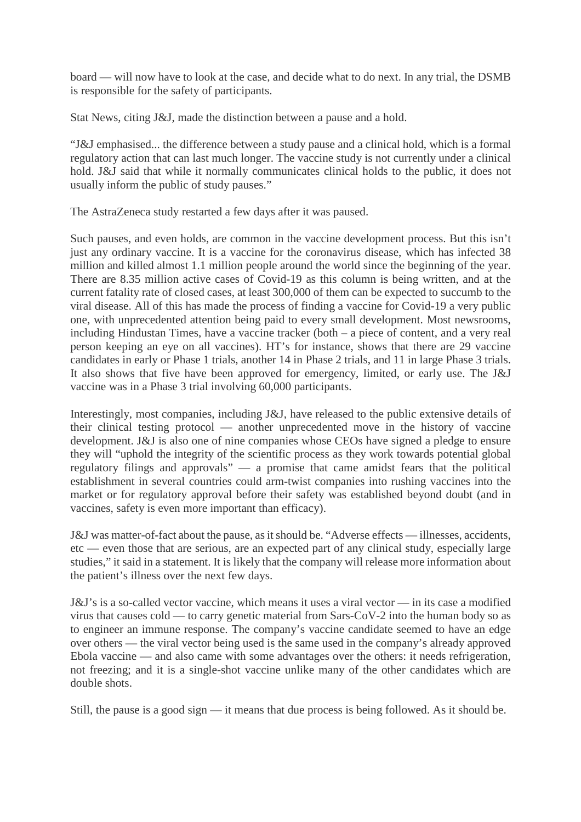board — will now have to look at the case, and decide what to do next. In any trial, the DSMB is responsible for the safety of participants.

Stat News, citing J&J, made the distinction between a pause and a hold.

"J&J emphasised... the difference between a study pause and a clinical hold, which is a formal regulatory action that can last much longer. The vaccine study is not currently under a clinical hold. J&J said that while it normally communicates clinical holds to the public, it does not usually inform the public of study pauses."

The AstraZeneca study restarted a few days after it was paused.

Such pauses, and even holds, are common in the vaccine development process. But this isn't just any ordinary vaccine. It is a vaccine for the coronavirus disease, which has infected 38 million and killed almost 1.1 million people around the world since the beginning of the year. There are 8.35 million active cases of Covid-19 as this column is being written, and at the current fatality rate of closed cases, at least 300,000 of them can be expected to succumb to the viral disease. All of this has made the process of finding a vaccine for Covid-19 a very public one, with unprecedented attention being paid to every small development. Most newsrooms, including Hindustan Times, have a vaccine tracker (both – a piece of content, and a very real person keeping an eye on all vaccines). HT's for instance, shows that there are 29 vaccine candidates in early or Phase 1 trials, another 14 in Phase 2 trials, and 11 in large Phase 3 trials. It also shows that five have been approved for emergency, limited, or early use. The J&J vaccine was in a Phase 3 trial involving 60,000 participants.

Interestingly, most companies, including J&J, have released to the public extensive details of their clinical testing protocol — another unprecedented move in the history of vaccine development. J&J is also one of nine companies whose CEOs have signed a pledge to ensure they will "uphold the integrity of the scientific process as they work towards potential global regulatory filings and approvals" — a promise that came amidst fears that the political establishment in several countries could arm-twist companies into rushing vaccines into the market or for regulatory approval before their safety was established beyond doubt (and in vaccines, safety is even more important than efficacy).

J&J was matter-of-fact about the pause, as it should be. "Adverse effects — illnesses, accidents, etc — even those that are serious, are an expected part of any clinical study, especially large studies," it said in a statement. It is likely that the company will release more information about the patient's illness over the next few days.

J&J's is a so-called vector vaccine, which means it uses a viral vector — in its case a modified virus that causes cold — to carry genetic material from Sars-CoV-2 into the human body so as to engineer an immune response. The company's vaccine candidate seemed to have an edge over others — the viral vector being used is the same used in the company's already approved Ebola vaccine — and also came with some advantages over the others: it needs refrigeration, not freezing; and it is a single-shot vaccine unlike many of the other candidates which are double shots.

Still, the pause is a good sign — it means that due process is being followed. As it should be.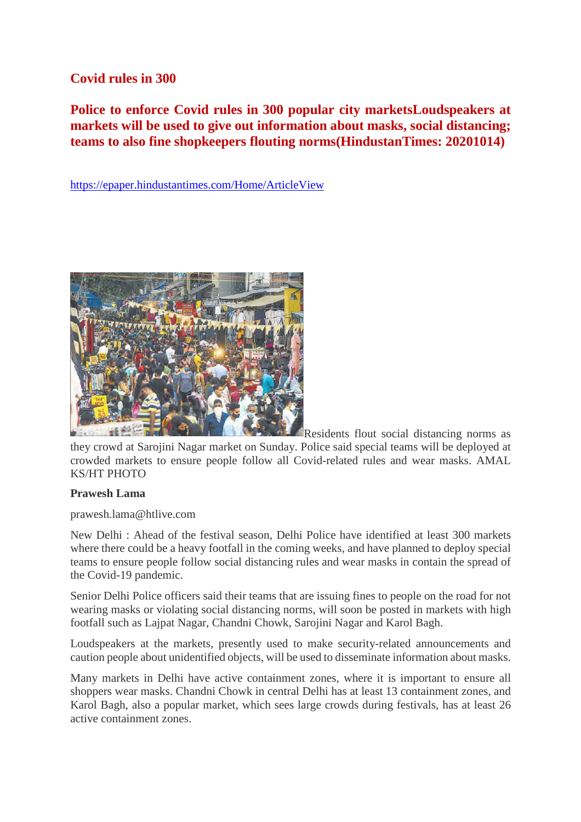#### **Covid rules in 300**

#### **Police to enforce Covid rules in 300 popular city marketsLoudspeakers at markets will be used to give out information about masks, social distancing; teams to also fine shopkeepers flouting norms(HindustanTimes: 20201014)**

https://epaper.hindustantimes.com/Home/ArticleView



Residents flout social distancing norms as they crowd at Sarojini Nagar market on Sunday. Police said special teams will be deployed at crowded markets to ensure people follow all Covid-related rules and wear masks. AMAL KS/HT PHOTO

#### **Prawesh Lama**

prawesh.lama@htlive.com

New Delhi : Ahead of the festival season, Delhi Police have identified at least 300 markets where there could be a heavy footfall in the coming weeks, and have planned to deploy special teams to ensure people follow social distancing rules and wear masks in contain the spread of the Covid-19 pandemic.

Senior Delhi Police officers said their teams that are issuing fines to people on the road for not wearing masks or violating social distancing norms, will soon be posted in markets with high footfall such as Lajpat Nagar, Chandni Chowk, Sarojini Nagar and Karol Bagh.

Loudspeakers at the markets, presently used to make security-related announcements and caution people about unidentified objects, will be used to disseminate information about masks.

Many markets in Delhi have active containment zones, where it is important to ensure all shoppers wear masks. Chandni Chowk in central Delhi has at least 13 containment zones, and Karol Bagh, also a popular market, which sees large crowds during festivals, has at least 26 active containment zones.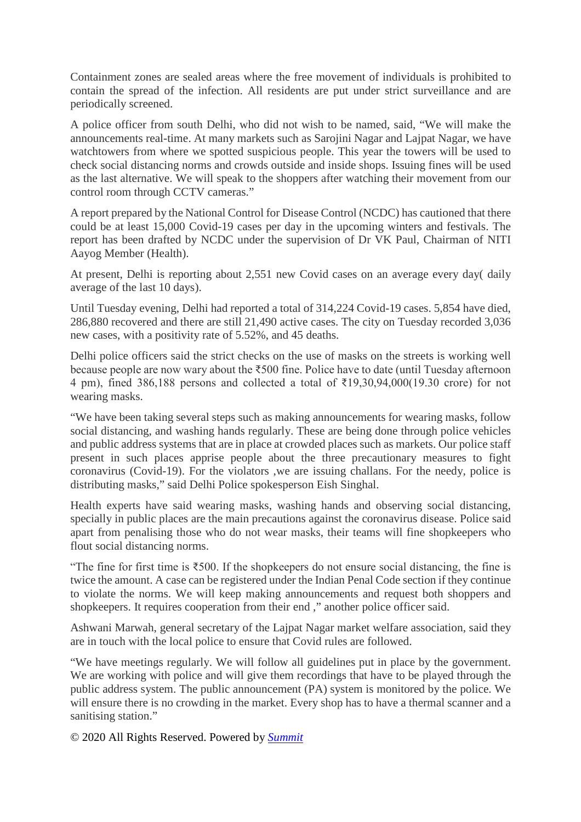Containment zones are sealed areas where the free movement of individuals is prohibited to contain the spread of the infection. All residents are put under strict surveillance and are periodically screened.

A police officer from south Delhi, who did not wish to be named, said, "We will make the announcements real-time. At many markets such as Sarojini Nagar and Lajpat Nagar, we have watchtowers from where we spotted suspicious people. This year the towers will be used to check social distancing norms and crowds outside and inside shops. Issuing fines will be used as the last alternative. We will speak to the shoppers after watching their movement from our control room through CCTV cameras."

A report prepared by the National Control for Disease Control (NCDC) has cautioned that there could be at least 15,000 Covid-19 cases per day in the upcoming winters and festivals. The report has been drafted by NCDC under the supervision of Dr VK Paul, Chairman of NITI Aayog Member (Health).

At present, Delhi is reporting about 2,551 new Covid cases on an average every day( daily average of the last 10 days).

Until Tuesday evening, Delhi had reported a total of 314,224 Covid-19 cases. 5,854 have died, 286,880 recovered and there are still 21,490 active cases. The city on Tuesday recorded 3,036 new cases, with a positivity rate of 5.52%, and 45 deaths.

Delhi police officers said the strict checks on the use of masks on the streets is working well because people are now wary about the ₹500 fine. Police have to date (until Tuesday afternoon 4 pm), fined 386,188 persons and collected a total of ₹19,30,94,000(19.30 crore) for not wearing masks.

"We have been taking several steps such as making announcements for wearing masks, follow social distancing, and washing hands regularly. These are being done through police vehicles and public address systems that are in place at crowded places such as markets. Our police staff present in such places apprise people about the three precautionary measures to fight coronavirus (Covid-19). For the violators ,we are issuing challans. For the needy, police is distributing masks," said Delhi Police spokesperson Eish Singhal.

Health experts have said wearing masks, washing hands and observing social distancing, specially in public places are the main precautions against the coronavirus disease. Police said apart from penalising those who do not wear masks, their teams will fine shopkeepers who flout social distancing norms.

"The fine for first time is  $\text{\textless}500$ . If the shopkeepers do not ensure social distancing, the fine is twice the amount. A case can be registered under the Indian Penal Code section if they continue to violate the norms. We will keep making announcements and request both shoppers and shopkeepers. It requires cooperation from their end ," another police officer said.

Ashwani Marwah, general secretary of the Lajpat Nagar market welfare association, said they are in touch with the local police to ensure that Covid rules are followed.

"We have meetings regularly. We will follow all guidelines put in place by the government. We are working with police and will give them recordings that have to be played through the public address system. The public announcement (PA) system is monitored by the police. We will ensure there is no crowding in the market. Every shop has to have a thermal scanner and a sanitising station."

© 2020 All Rights Reserved. Powered by *Summit*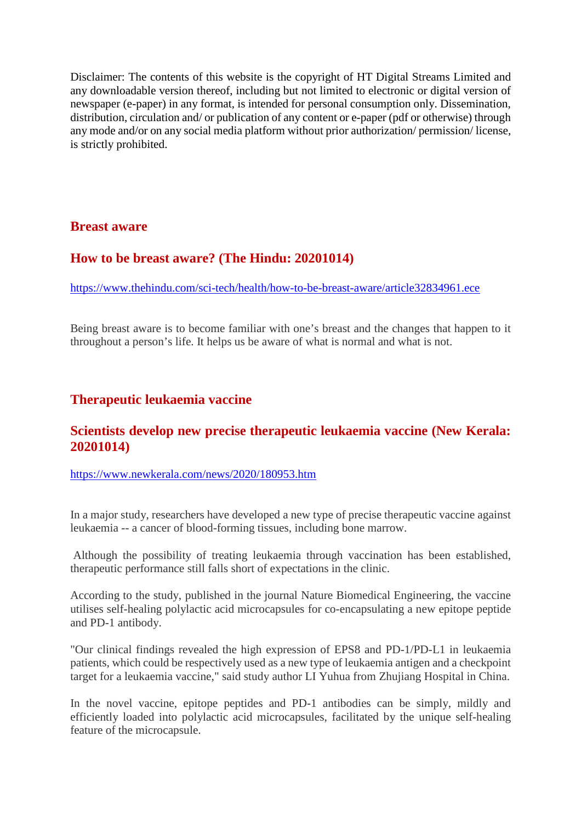Disclaimer: The contents of this website is the copyright of HT Digital Streams Limited and any downloadable version thereof, including but not limited to electronic or digital version of newspaper (e-paper) in any format, is intended for personal consumption only. Dissemination, distribution, circulation and/ or publication of any content or e-paper (pdf or otherwise) through any mode and/or on any social media platform without prior authorization/ permission/ license, is strictly prohibited.

#### **Breast aware**

#### **How to be breast aware? (The Hindu: 20201014)**

https://www.thehindu.com/sci-tech/health/how-to-be-breast-aware/article32834961.ece

Being breast aware is to become familiar with one's breast and the changes that happen to it throughout a person's life. It helps us be aware of what is normal and what is not.

#### **Therapeutic leukaemia vaccine**

#### **Scientists develop new precise therapeutic leukaemia vaccine (New Kerala: 20201014)**

https://www.newkerala.com/news/2020/180953.htm

In a major study, researchers have developed a new type of precise therapeutic vaccine against leukaemia -- a cancer of blood-forming tissues, including bone marrow.

Although the possibility of treating leukaemia through vaccination has been established, therapeutic performance still falls short of expectations in the clinic.

According to the study, published in the journal Nature Biomedical Engineering, the vaccine utilises self-healing polylactic acid microcapsules for co-encapsulating a new epitope peptide and PD-1 antibody.

"Our clinical findings revealed the high expression of EPS8 and PD-1/PD-L1 in leukaemia patients, which could be respectively used as a new type of leukaemia antigen and a checkpoint target for a leukaemia vaccine," said study author LI Yuhua from Zhujiang Hospital in China.

In the novel vaccine, epitope peptides and PD-1 antibodies can be simply, mildly and efficiently loaded into polylactic acid microcapsules, facilitated by the unique self-healing feature of the microcapsule.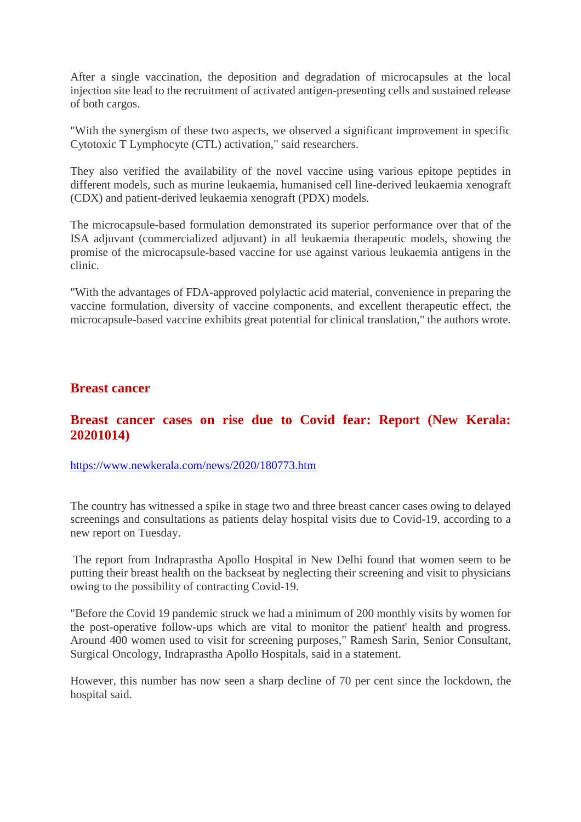After a single vaccination, the deposition and degradation of microcapsules at the local injection site lead to the recruitment of activated antigen-presenting cells and sustained release of both cargos.

"With the synergism of these two aspects, we observed a significant improvement in specific Cytotoxic T Lymphocyte (CTL) activation," said researchers.

They also verified the availability of the novel vaccine using various epitope peptides in different models, such as murine leukaemia, humanised cell line-derived leukaemia xenograft (CDX) and patient-derived leukaemia xenograft (PDX) models.

The microcapsule-based formulation demonstrated its superior performance over that of the ISA adjuvant (commercialized adjuvant) in all leukaemia therapeutic models, showing the promise of the microcapsule-based vaccine for use against various leukaemia antigens in the clinic.

"With the advantages of FDA-approved polylactic acid material, convenience in preparing the vaccine formulation, diversity of vaccine components, and excellent therapeutic effect, the microcapsule-based vaccine exhibits great potential for clinical translation," the authors wrote.

#### **Breast cancer**

#### **Breast cancer cases on rise due to Covid fear: Report (New Kerala: 20201014)**

https://www.newkerala.com/news/2020/180773.htm

The country has witnessed a spike in stage two and three breast cancer cases owing to delayed screenings and consultations as patients delay hospital visits due to Covid-19, according to a new report on Tuesday.

The report from Indraprastha Apollo Hospital in New Delhi found that women seem to be putting their breast health on the backseat by neglecting their screening and visit to physicians owing to the possibility of contracting Covid-19.

"Before the Covid 19 pandemic struck we had a minimum of 200 monthly visits by women for the post-operative follow-ups which are vital to monitor the patient' health and progress. Around 400 women used to visit for screening purposes," Ramesh Sarin, Senior Consultant, Surgical Oncology, Indraprastha Apollo Hospitals, said in a statement.

However, this number has now seen a sharp decline of 70 per cent since the lockdown, the hospital said.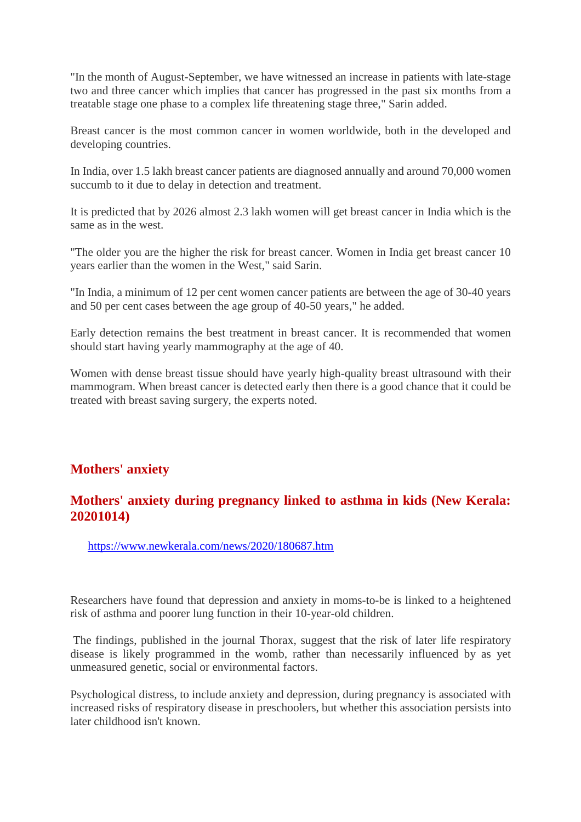"In the month of August-September, we have witnessed an increase in patients with late-stage two and three cancer which implies that cancer has progressed in the past six months from a treatable stage one phase to a complex life threatening stage three," Sarin added.

Breast cancer is the most common cancer in women worldwide, both in the developed and developing countries.

In India, over 1.5 lakh breast cancer patients are diagnosed annually and around 70,000 women succumb to it due to delay in detection and treatment.

It is predicted that by 2026 almost 2.3 lakh women will get breast cancer in India which is the same as in the west.

"The older you are the higher the risk for breast cancer. Women in India get breast cancer 10 years earlier than the women in the West," said Sarin.

"In India, a minimum of 12 per cent women cancer patients are between the age of 30-40 years and 50 per cent cases between the age group of 40-50 years," he added.

Early detection remains the best treatment in breast cancer. It is recommended that women should start having yearly mammography at the age of 40.

Women with dense breast tissue should have yearly high-quality breast ultrasound with their mammogram. When breast cancer is detected early then there is a good chance that it could be treated with breast saving surgery, the experts noted.

#### **Mothers' anxiety**

#### **Mothers' anxiety during pregnancy linked to asthma in kids (New Kerala: 20201014)**

https://www.newkerala.com/news/2020/180687.htm

Researchers have found that depression and anxiety in moms-to-be is linked to a heightened risk of asthma and poorer lung function in their 10-year-old children.

The findings, published in the journal Thorax, suggest that the risk of later life respiratory disease is likely programmed in the womb, rather than necessarily influenced by as yet unmeasured genetic, social or environmental factors.

Psychological distress, to include anxiety and depression, during pregnancy is associated with increased risks of respiratory disease in preschoolers, but whether this association persists into later childhood isn't known.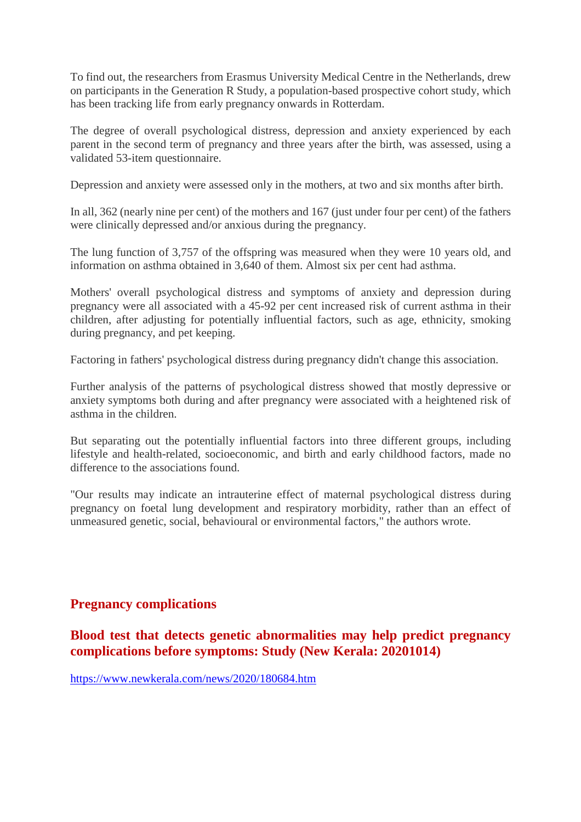To find out, the researchers from Erasmus University Medical Centre in the Netherlands, drew on participants in the Generation R Study, a population-based prospective cohort study, which has been tracking life from early pregnancy onwards in Rotterdam.

The degree of overall psychological distress, depression and anxiety experienced by each parent in the second term of pregnancy and three years after the birth, was assessed, using a validated 53-item questionnaire.

Depression and anxiety were assessed only in the mothers, at two and six months after birth.

In all, 362 (nearly nine per cent) of the mothers and 167 (just under four per cent) of the fathers were clinically depressed and/or anxious during the pregnancy.

The lung function of 3,757 of the offspring was measured when they were 10 years old, and information on asthma obtained in 3,640 of them. Almost six per cent had asthma.

Mothers' overall psychological distress and symptoms of anxiety and depression during pregnancy were all associated with a 45-92 per cent increased risk of current asthma in their children, after adjusting for potentially influential factors, such as age, ethnicity, smoking during pregnancy, and pet keeping.

Factoring in fathers' psychological distress during pregnancy didn't change this association.

Further analysis of the patterns of psychological distress showed that mostly depressive or anxiety symptoms both during and after pregnancy were associated with a heightened risk of asthma in the children.

But separating out the potentially influential factors into three different groups, including lifestyle and health-related, socioeconomic, and birth and early childhood factors, made no difference to the associations found.

"Our results may indicate an intrauterine effect of maternal psychological distress during pregnancy on foetal lung development and respiratory morbidity, rather than an effect of unmeasured genetic, social, behavioural or environmental factors," the authors wrote.

#### **Pregnancy complications**

**Blood test that detects genetic abnormalities may help predict pregnancy complications before symptoms: Study (New Kerala: 20201014)**

https://www.newkerala.com/news/2020/180684.htm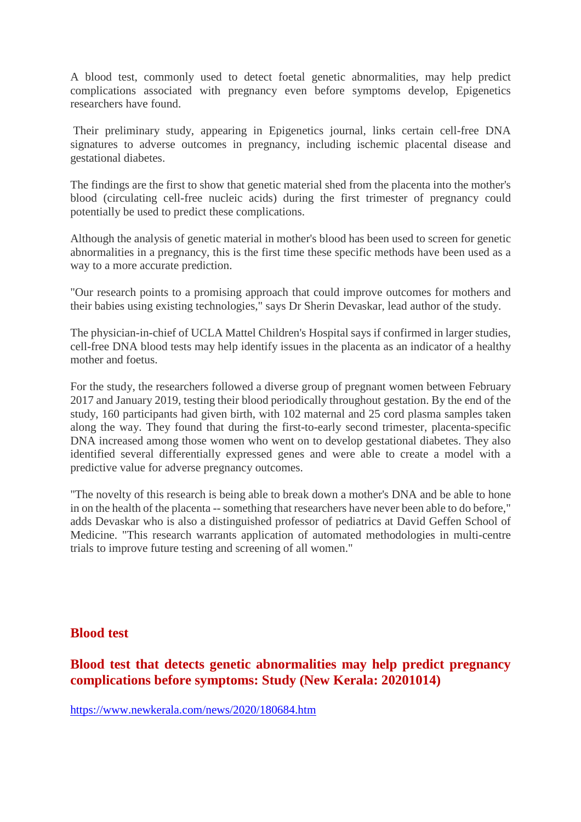A blood test, commonly used to detect foetal genetic abnormalities, may help predict complications associated with pregnancy even before symptoms develop, Epigenetics researchers have found.

Their preliminary study, appearing in Epigenetics journal, links certain cell-free DNA signatures to adverse outcomes in pregnancy, including ischemic placental disease and gestational diabetes.

The findings are the first to show that genetic material shed from the placenta into the mother's blood (circulating cell-free nucleic acids) during the first trimester of pregnancy could potentially be used to predict these complications.

Although the analysis of genetic material in mother's blood has been used to screen for genetic abnormalities in a pregnancy, this is the first time these specific methods have been used as a way to a more accurate prediction.

"Our research points to a promising approach that could improve outcomes for mothers and their babies using existing technologies," says Dr Sherin Devaskar, lead author of the study.

The physician-in-chief of UCLA Mattel Children's Hospital says if confirmed in larger studies, cell-free DNA blood tests may help identify issues in the placenta as an indicator of a healthy mother and foetus.

For the study, the researchers followed a diverse group of pregnant women between February 2017 and January 2019, testing their blood periodically throughout gestation. By the end of the study, 160 participants had given birth, with 102 maternal and 25 cord plasma samples taken along the way. They found that during the first-to-early second trimester, placenta-specific DNA increased among those women who went on to develop gestational diabetes. They also identified several differentially expressed genes and were able to create a model with a predictive value for adverse pregnancy outcomes.

"The novelty of this research is being able to break down a mother's DNA and be able to hone in on the health of the placenta -- something that researchers have never been able to do before," adds Devaskar who is also a distinguished professor of pediatrics at David Geffen School of Medicine. "This research warrants application of automated methodologies in multi-centre trials to improve future testing and screening of all women."

#### **Blood test**

#### **Blood test that detects genetic abnormalities may help predict pregnancy complications before symptoms: Study (New Kerala: 20201014)**

https://www.newkerala.com/news/2020/180684.htm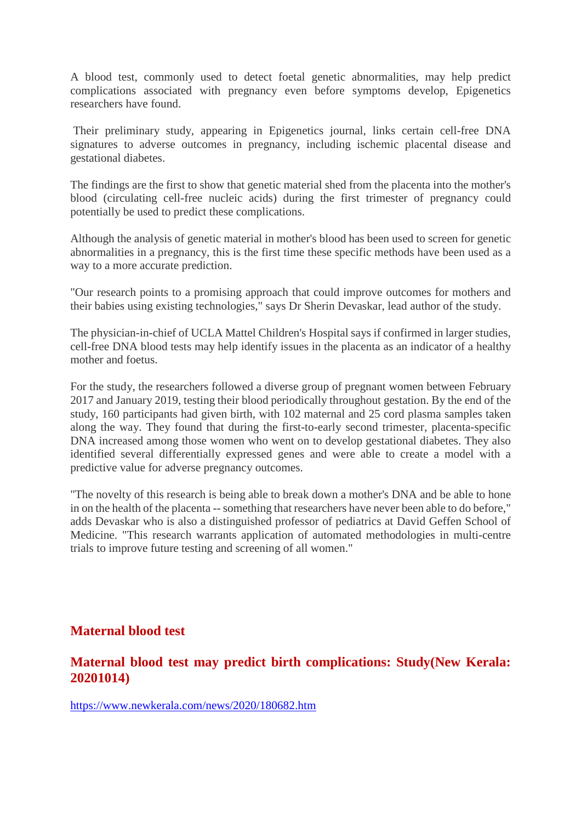A blood test, commonly used to detect foetal genetic abnormalities, may help predict complications associated with pregnancy even before symptoms develop, Epigenetics researchers have found.

Their preliminary study, appearing in Epigenetics journal, links certain cell-free DNA signatures to adverse outcomes in pregnancy, including ischemic placental disease and gestational diabetes.

The findings are the first to show that genetic material shed from the placenta into the mother's blood (circulating cell-free nucleic acids) during the first trimester of pregnancy could potentially be used to predict these complications.

Although the analysis of genetic material in mother's blood has been used to screen for genetic abnormalities in a pregnancy, this is the first time these specific methods have been used as a way to a more accurate prediction.

"Our research points to a promising approach that could improve outcomes for mothers and their babies using existing technologies," says Dr Sherin Devaskar, lead author of the study.

The physician-in-chief of UCLA Mattel Children's Hospital says if confirmed in larger studies, cell-free DNA blood tests may help identify issues in the placenta as an indicator of a healthy mother and foetus.

For the study, the researchers followed a diverse group of pregnant women between February 2017 and January 2019, testing their blood periodically throughout gestation. By the end of the study, 160 participants had given birth, with 102 maternal and 25 cord plasma samples taken along the way. They found that during the first-to-early second trimester, placenta-specific DNA increased among those women who went on to develop gestational diabetes. They also identified several differentially expressed genes and were able to create a model with a predictive value for adverse pregnancy outcomes.

"The novelty of this research is being able to break down a mother's DNA and be able to hone in on the health of the placenta -- something that researchers have never been able to do before," adds Devaskar who is also a distinguished professor of pediatrics at David Geffen School of Medicine. "This research warrants application of automated methodologies in multi-centre trials to improve future testing and screening of all women."

#### **Maternal blood test**

#### **Maternal blood test may predict birth complications: Study(New Kerala: 20201014)**

https://www.newkerala.com/news/2020/180682.htm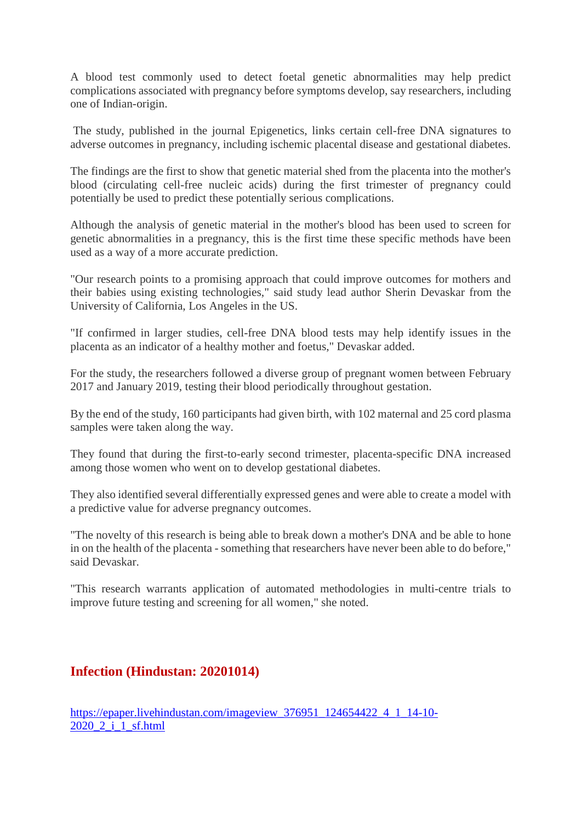A blood test commonly used to detect foetal genetic abnormalities may help predict complications associated with pregnancy before symptoms develop, say researchers, including one of Indian-origin.

The study, published in the journal Epigenetics, links certain cell-free DNA signatures to adverse outcomes in pregnancy, including ischemic placental disease and gestational diabetes.

The findings are the first to show that genetic material shed from the placenta into the mother's blood (circulating cell-free nucleic acids) during the first trimester of pregnancy could potentially be used to predict these potentially serious complications.

Although the analysis of genetic material in the mother's blood has been used to screen for genetic abnormalities in a pregnancy, this is the first time these specific methods have been used as a way of a more accurate prediction.

"Our research points to a promising approach that could improve outcomes for mothers and their babies using existing technologies," said study lead author Sherin Devaskar from the University of California, Los Angeles in the US.

"If confirmed in larger studies, cell-free DNA blood tests may help identify issues in the placenta as an indicator of a healthy mother and foetus," Devaskar added.

For the study, the researchers followed a diverse group of pregnant women between February 2017 and January 2019, testing their blood periodically throughout gestation.

By the end of the study, 160 participants had given birth, with 102 maternal and 25 cord plasma samples were taken along the way.

They found that during the first-to-early second trimester, placenta-specific DNA increased among those women who went on to develop gestational diabetes.

They also identified several differentially expressed genes and were able to create a model with a predictive value for adverse pregnancy outcomes.

"The novelty of this research is being able to break down a mother's DNA and be able to hone in on the health of the placenta - something that researchers have never been able to do before," said Devaskar.

"This research warrants application of automated methodologies in multi-centre trials to improve future testing and screening for all women," she noted.

#### **Infection (Hindustan: 20201014)**

https://epaper.livehindustan.com/imageview\_376951\_124654422\_4\_1\_14-10-  $2020\,2\,$ i 1 sf.html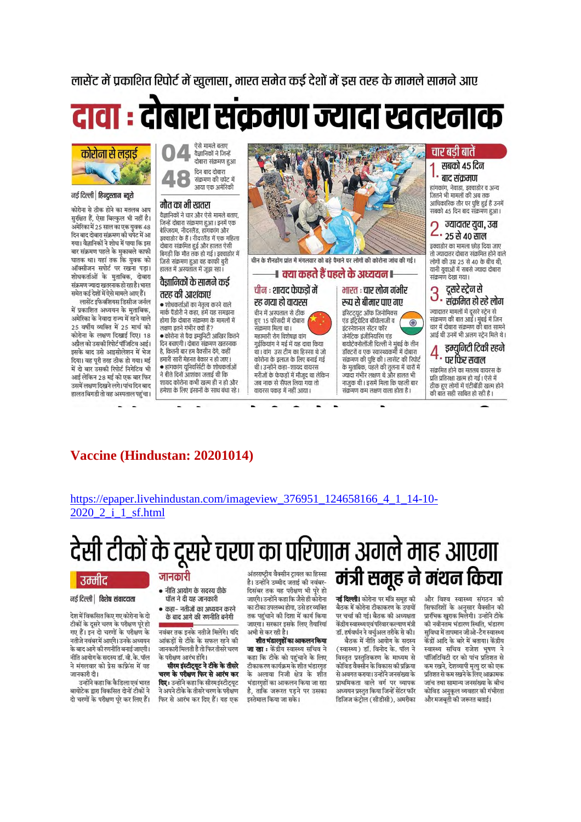लासेंट में प्रकाशित रिपोर्ट में खुलासा, भारत समेत कई देशों में इस तरह के मामले सामने आए

दावा : दोबारा संक्रमण ज्यादा खतरनाक



#### नई दिल्ली हिन्दुस्तान ब्यूरो

कोरोना से ठीक होने का मतलब आप सुरक्षित हैं, ऐसा बिल्कुल भी नहीं है। .<br>अमेरिका में 25 साल का एक युवक 48 दिन बाद दोबारा संक्रमण की चपेट में आ गया। वैज्ञानिकों ने शोध में पाया कि इस बार संक्रमण पहले के मुकाबले काफी घातक था। यहां तक कि युवक को ऑक्सीजन सपोर्ट पर रखना पड़ा। शोधकर्ताओं के मुताबिक, दोबारा संक्रमण ज्यादा खतरनॉक हो रहा है। भारत .<br>समेत कई देशों में ऐसे मामले आए हैं।

लासेंट इंफेक्शियस डिसीज जर्नल में प्रकाशित अध्ययन के मुताबिक, अमेरिका के नेवादा राज्य में रहने वाले 25 वर्षीय व्यक्ति में 25 मार्च को कोरोना के लक्षण दिखाई दिए। 18 अप्रैल को उसकी रिपोर्ट पॉजिटिव आई। इसके बाद उसे आइसोलेशन में भेज दिया। वह परी तरह ठीक हो गया। मई में दो बार उसकी रिपोर्ट निगेटिव भी आई लेकिन 28 मई को एक बार फिर उसमें लक्षण दिखने लगे। पांच दिन बाद हालत बिगडी तो वह अस्पताल पहुंचा। वैज्ञानिकों ने जिन्हें दोबारा संक्रमण हआ दिन बाद दोबारा संक्रमण की चपेट में आया एक अमेरिकी

#### मौत का भी खतरा

वैज्ञानिकों ने चार और ऐसे मामले बताए जिन्हें दोबारा संक्रमण हुआ। इनमें एक बेल्जियम, नीदरलैंड, हांगकांग और इक्वाडोर के हैं। नीदरलैंड में एक महिला दोबारा संक्रमित हुई और हालत ऐसी बिग़डी कि मौत तक हो गई। इक्वादोर में जिसे संक्रमण हुआ वह काफी बुरी हालत में अस्पताल में जुझ रहा।

#### वैज्ञानिकों के सामने कई तरह की आशंकाएं

• शोधकर्ताओं का नेतृत्व करने वाले मार्क पैंडोरी ने कहा, हमें यह समझना होगा कि दोबारा संक्रमण के मामलों में लक्षण इतने गंभीर क्यों हैं? • कोरोना से पैदा इम्युनिटी आखिर कितने दिन बचाएगी। दोबारा संक्रमण खतरनाक है, कितनी बार हम वैक्सीन देंगे, कहीं हमारी सारी मेहनत बेकार न हो जाए। ान काम काम काम काम है।<br>• हॉगकांग यूनिवर्सिटी के शोधकर्ताओं<br>ने बीते दिनों आशंका जताई थी कि शायद कोरोना कभी खत्म ही न हो और हमेशा के लिए इंसानों के साथ बंधा रहे।



रह गया हो वायरस रूप से बीमार पाए गए चीन में अस्पताल से टीक इंस्टिटयूट ऑफ जिनोमिक्स हुए 15 फीसदी में दोबारा एंड इंट्रिग्रेटिव बॉयोलाजी व .<br>संक्रमण मिला था। इंटरनेशनल सेंटर फॉर महामारी रोग विशेषज्ञ वांग जेनेटिक इंजीनियरिंग एंड गुईकियांग ने मई में यह दावा किया बायोटेक्नोलॉजी दिल्ली ने मंबई के तीन डॉक्टरों व एक स्वास्थ्यकर्मी में दोबारा शा। तांग, उस टीम का हिस्सा थे जो कोरोना के इलाज के लिए बनाई गई .<br>संक्रमण की पृष्टि की। लासेंट की रिपोर्ट थी। उन्होंने कहा–शायद वायरस के मुताबिक, पहले की तुलना में चारों में ज्यादा गंभीर लक्षण थे और हालत भी मरीजों के फेफड़ों में मौजूद था लेकिन जब नाक से सैंपल लिया गया तो नाजुक थी। इसमें मिला कि पहली बार वायरस पकड में नहीं आया। संक्रमण कम लक्षण वाला होता है।

#### चार बडी बातें

#### सबको ४५ दिन बाद संकमण

हांगकांग, नेवाडा, डक्वाडोर व अन्य जितने भी मामलों की अब तक आधिकारिक तौर पर पृष्टि हुई हैं उनमें सबको 45 दिन बाद संक्रमण हुआ।

#### ज्यादातर युवा, उम्र  $\mathsf{L}\cdot$  25 से 40 साल

इक्वाडोर का मामला छोड दिया जाए तो ज्यादातर दोबारा संक्रमित होने वाले लोगों की उम्र 25 से 40 के बीच थी यानी यवाओं में सबसे ज्यादा दोबारा संक्रमण देखा गया।



 $\circledcirc$ 

 $4.$   $\frac{8}{9}$   $\frac{8}{9}$   $\frac{8}{9}$   $\frac{8}{9}$   $\frac{8}{9}$ .<br>संक्रमित होने का मतलब वायरस के प्रति प्रतिरक्षा खत्म हो गई। ऐसे में ठीक हुए लोगों में एंटीबॉडी खत्म होने

की बात सही साबित हो रही है।

#### Vaccine (Hindustan: 20201014)

https://epaper.livehindustan.com/imageview\_376951\_124658166\_4\_1\_14-10-2020 2 i 1 sf.html

## देसी टीकों के दूसरे चरण का परिणाम अगले माह आएगा मंत्री समूह ने मंथन किया

#### | उम्मीद

#### नई दिल्ली | विशेष संवाददाता

देश में विकसित किए गए कोरोना के दो टीकों के दूसरे चरण के परीक्षण पूरे हो गए हैं। इन दो चरणों के परीक्षण के नतीजे नवंबरमें आएंगे। उनके अध्ययन के बाद आगे की रणनीति बनाई जाएगी। .<br>नीति आयोग के सदस्य डॉ. वी. के. पॉल ने मंगलवार को प्रेस कफ़्रिंस में यह जानकारी दी।

उन्होंने कहा कि कैडिला एवं भारत बायोटेक द्वारा विकसित दोनों टीकों ने दो चरणों के परीक्षण पूरे कर लिए हैं।

#### जानकारी

• नीति आयोग के सदस्य वीके पॉल ने दी यह जानकारी

• कहा– नतीजों का अध्ययन करने के बाद आगे की रणनीति बनेगी

नवंबर तक इनके नतीजे मिलेंगे। यदि आंकड़ों से टीके के सफल रहने की जानकारी मिलती है तो फिर तीसरे चरण के परीक्षण आरंभ होंगे।

सीरम इंस्टीट्यूट ने टीके के तीसरे वरण के परीक्षण फिर से आरंभ कर दिए: उन्होंने कहा कि सीरम इंस्टीट्युट ने अपने टीके के तीसरे चरण के परीक्षण फिर से आरंभ कर दिए हैं। यह एक

अंतरराष्ट्रीय वैक्सीन ट्रायल का हिस्सा .<br>है। उन्होंने उम्मीद जताई की नवंबर-दिसंबर तक यह परीक्षण भी परे हो जाएंगे। उन्होंने कहा कि जैसे ही कोरोना का टीका उपलब्ध होगा. उसे हर व्यक्ति तक पहुंचाने की दिशा में कार्य किया जाएगा। सरकार इसके लिए तैयारियां अभी से कर रही है।

शीत भंडारगृहों का आकलन किया जा रहा : केंद्रीय स्वास्थ्य सचिव ने कहा कि टीके को पहुंचाने के लिए टीकाकरण कार्यक्रम के शीत भंडारगृह के अलावा निजी क्षेत्र के शीत .<br>भंडारगृहों का आकलन किया जा रहा है. ताकि जरूरत पडने पर उसका इस्तेमाल किया जा सके।

**नई दिल्ली।** कोरोना पर मंत्रि समूह की बैठक में कोगेना टीकाकरण के उपायों पर चर्चा की गई। बैठक की अध्यक्षता .<br>केंद्रीय स्वास्थ्य एवं परिवार कल्याण मंत्री डॉ. हर्षवर्धन ने वर्चुअल तरीके से की।

बैठक में नीति आयोग के सदस्य (स्वास्थ्य) डॉ. विनोद के. पॉल ने विस्तृत प्रस्तुतिकरण के माध्यम से कोविड वैक्सीन के विकास की प्रक्रिया .<br>से अवगत कराया। उन्होंने जनसंख्या के पाथमिकता वाले वर्ग पर व्यापक अध्ययन प्रस्तुत किया जिन्हें सेंटर फॉर डिजिज कंट्रोल (सीडीसी), अमरीका और विश्व स्वास्थ्य संगठन की जाः<br>सिफारिशों के अनुसार वैक्सीन की प्रारंभिक खुराक मिलेगी। उन्होंने टीके की नवीनतम भंडारण स्थिति, भंडारण .<br>सुविधा में तापमान जीओ-टैग स्वास्थ्य केंद्रों आदि के बारे में बताया। केंद्रीय स्वास्थ्य सचिव राजेश भूषण ने पॉजिटिविटी दर को पांच प्रतिशत से कम रखने, देशव्यापी मृत्यु दर को एक प्रतिशत से कम रखने के लिए आक्रामक जांच तथा सामान्य जनसंख्या के बीच कोविड अनकुल व्यवहार की गंभीरता और मजबूती की जरूरत बताई।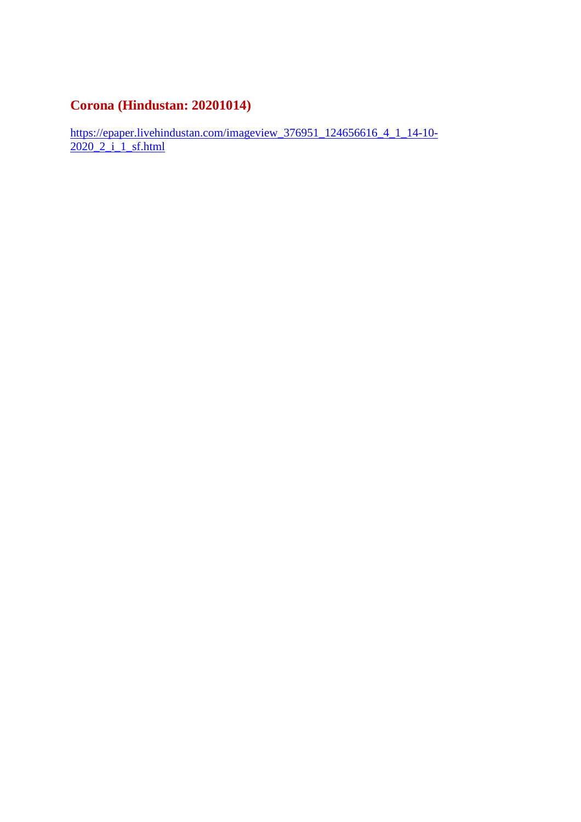#### **Corona (Hindustan: 20201014)**

https://epaper.livehindustan.com/imageview\_376951\_124656616\_4\_1\_14-10-2020\_2\_i\_1\_sf.html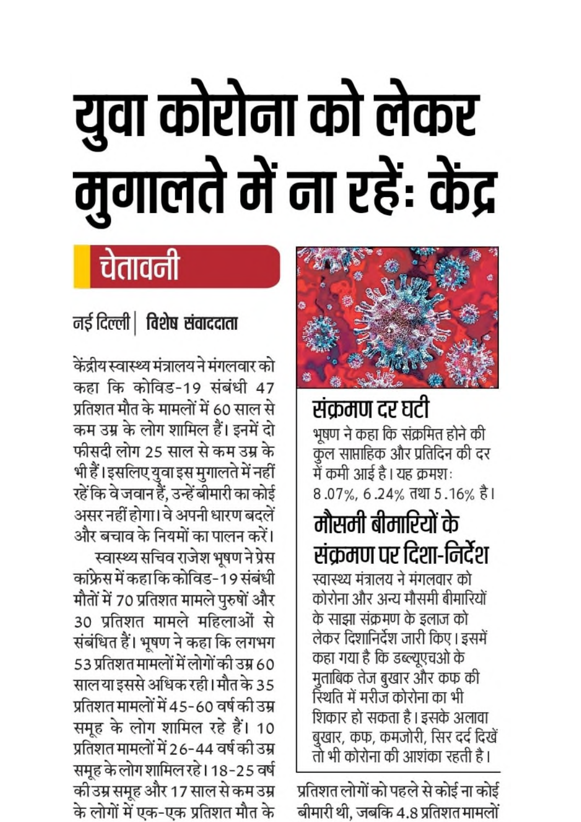# युवा कोरोना को लेकर मुगालते में ना रहें: केंद्र

## चेतावनी

### नई दिल्ली | विशेष संवाददाता

केंद्रीय स्वास्थ्य मंत्रालय ने मंगलवार को कहा कि कोविड-19 संबंधी 47 प्रतिशत मौत के मामलों में 60 साल से कम उम्र के लोग शामिल हैं। इनमें दो फीसदी लोग 25 साल से कम उम्र के भी हैं। इसलिए युवा इस मुगालते में नहीं रहें कि वे जवान हैं, उन्हें बीमारी का कोई असर नहीं होगा। वे अपनी धारण बदलें और बचाव के नियमों का पालन करें। स्वास्थ्य सचिव राजेश भूषण ने प्रेस

कांफ्रेस में कहा कि कोविड-19 संबंधी मौतों में 70 प्रतिशत मामले पुरुषों और 30 प्रतिशत मामले महिलाओं से संबंधित हैं। भूषण ने कहा कि लगभग 53 प्रतिशत मामलों में लोगों की उम्र 60 सालया इससे अधिक रही। मौत के 35 प्रतिशत मामलों में 45-60 वर्ष की उम्र समूह के लोग शामिल रहे हैं। 10 प्रतिशत मामलों में 26-44 वर्ष की उम्र समूह के लोग शामिल रहे। 18-25 वर्ष की उम्र समूह और 17 साल से कम उम्र के लोगों में एक-एक प्रतिशत मौत के



संक्रमण दर घटी भूषण ने कहा कि संक्रमित होने की कुल साप्ताहिक और प्रतिदिन की दर में कमी आई है। यह क्रमशः 8.07%, 6.24% तथा 5.16% है।

## मौसमी बीमारियों के संक्रमण पर दिशा-निर्देश

स्वास्थ्य मंत्रालय ने मंगलवार को कोरोना और अन्य मौसमी बीमारियों के साझा संक्रमण के इलाज को लेकर दिशानिर्देश जारी किए। इसमें कहा गया है कि डब्ल्यूएचओ के मुताबिक तेज बुखार और कफ की स्थिति में मरीज कोरोना का भी शिकार हो सकता है। इसके अलावा बुखार, कफ, कमजोरी, सिर दर्द दिखें तो भी कोरोना की आशंका रहती है।

प्रतिशत लोगों को पहले से कोई ना कोई बीमारी थी, जबकि 4.8 प्रतिशत मामलों